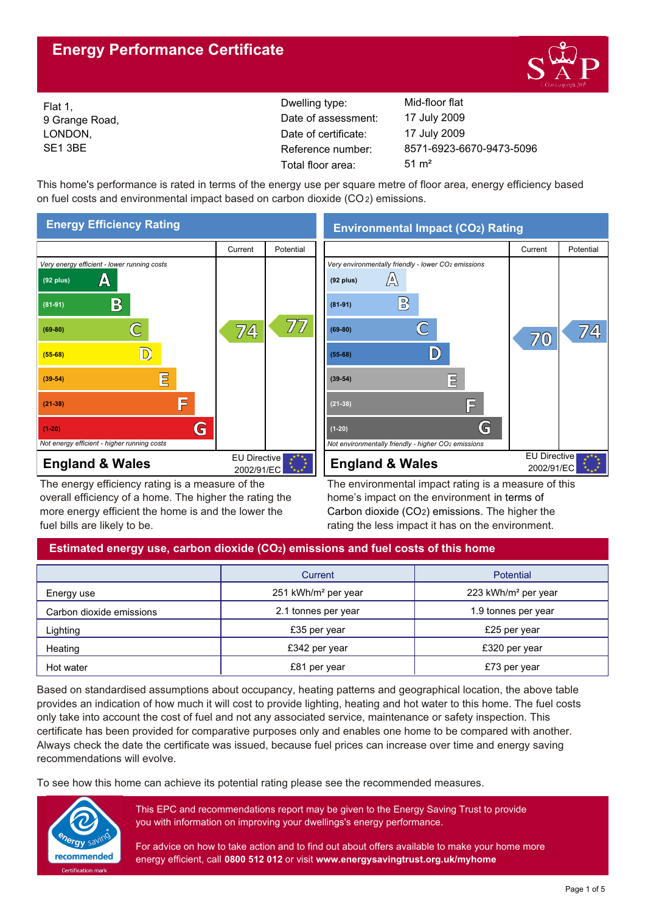# **Energy Performance Certificate**

Flat 1. 9 Grange Road, LONDON, SE1 3BE

Dwelling type: Date of assessment: Date of certificate: Reference number: Total floor area:

Mid-floor flat 17 July 2009 17 July 2009 8571-6923-6670-9473-5096  $51 \text{ m}^2$ 

This home's performance is rated in terms of the energy use per square metre of floor area, energy efficiency based on fuel costs and environmental impact based on carbon dioxide (CO2) emissions.



The energy efficiency rating is a measure of the overall efficiency of a home. The higher the rating the more energy efficient the home is and the lower the fuel bills are likely to be.

The environmental impact rating is a measure of this home's impact on the environment in terms of Carbon dioxide (CO2) emissions. The higher the rating the less impact it has on the environment.

# Estimated energy use, carbon dioxide (CO<sub>2</sub>) emissions and fuel costs of this home

|                          | Current                           | <b>Potential</b>                |  |  |
|--------------------------|-----------------------------------|---------------------------------|--|--|
| Energy use               | $251$ kWh/m <sup>2</sup> per year | 223 kWh/m <sup>2</sup> per year |  |  |
| Carbon dioxide emissions | 2.1 tonnes per year               | 1.9 tonnes per year             |  |  |
| Lighting                 | £35 per year                      | £25 per year                    |  |  |
| Heating                  | £342 per year                     | £320 per year                   |  |  |
| Hot water                | £81 per year                      | £73 per year                    |  |  |

Based on standardised assumptions about occupancy, heating patterns and geographical location, the above table provides an indication of how much it will cost to provide lighting, heating and hot water to this home. The fuel costs only take into account the cost of fuel and not any associated service, maintenance or safety inspection. This certificate has been provided for comparative purposes only and enables one home to be compared with another. Always check the date the certificate was issued, because fuel prices can increase over time and energy saving recommendations will evolve.

To see how this home can achieve its potential rating please see the recommended measures.



This EPC and recommendations report may be given to the Energy Saving Trust to provide you with information on improving your dwellings's energy performance.

For advice on how to take action and to find out about offers available to make your home more energy efficient, call 0800 512 012 or visit www.energysavingtrust.org.uk/myhome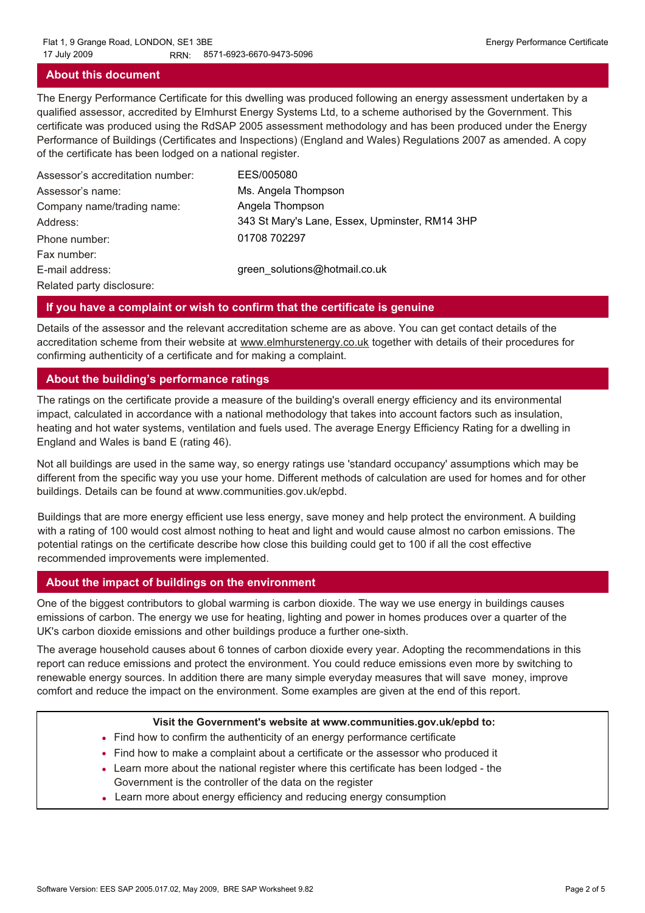### **About this document**

The Energy Performance Certificate for this dwelling was produced following an energy assessment undertaken by a qualified assessor, accredited by Elmhurst Energy Systems Ltd, to a scheme authorised by the Government. This certificate was produced using the RdSAP 2005 assessment methodology and has been produced under the Energy Performance of Buildings (Certificates and Inspections) (England and Wales) Regulations 2007 as amended. A copy of the certificate has been lodged on a national register.

| Assessor's accreditation number: | EES/005080                                     |
|----------------------------------|------------------------------------------------|
| Assessor's name:                 | Ms. Angela Thompson                            |
| Company name/trading name:       | Angela Thompson                                |
| Address:                         | 343 St Mary's Lane, Essex, Upminster, RM14 3HP |
| Phone number:                    | 01708 702297                                   |
| Fax number:                      |                                                |
| E-mail address:                  | green solutions@hotmail.co.uk                  |
| Related party disclosure:        |                                                |

### If you have a complaint or wish to confirm that the certificate is genuine

Details of the assessor and the relevant accreditation scheme are as above. You can get contact details of the accreditation scheme from their website at www.elmhurstenergy.co.uk together with details of their procedures for confirming authenticity of a certificate and for making a complaint.

#### About the building's performance ratings

The ratings on the certificate provide a measure of the building's overall energy efficiency and its environmental impact, calculated in accordance with a national methodology that takes into account factors such as insulation, heating and hot water systems, ventilation and fuels used. The average Energy Efficiency Rating for a dwelling in England and Wales is band E (rating 46).

Not all buildings are used in the same way, so energy ratings use 'standard occupancy' assumptions which may be different from the specific way you use your home. Different methods of calculation are used for homes and for other buildings. Details can be found at www.communities.gov.uk/epbd.

Buildings that are more energy efficient use less energy, save money and help protect the environment. A building with a rating of 100 would cost almost nothing to heat and light and would cause almost no carbon emissions. The potential ratings on the certificate describe how close this building could get to 100 if all the cost effective recommended improvements were implemented.

#### About the impact of buildings on the environment

One of the biggest contributors to global warming is carbon dioxide. The way we use energy in buildings causes emissions of carbon. The energy we use for heating, lighting and power in homes produces over a quarter of the UK's carbon dioxide emissions and other buildings produce a further one-sixth.

The average household causes about 6 tonnes of carbon dioxide every year. Adopting the recommendations in this report can reduce emissions and protect the environment. You could reduce emissions even more by switching to renewable energy sources. In addition there are many simple everyday measures that will save money, improve comfort and reduce the impact on the environment. Some examples are given at the end of this report.

#### Visit the Government's website at www.communities.gov.uk/epbd to:

- Find how to confirm the authenticity of an energy performance certificate
- Find how to make a complaint about a certificate or the assessor who produced it
- Learn more about the national register where this certificate has been lodged the Government is the controller of the data on the register
- Learn more about energy efficiency and reducing energy consumption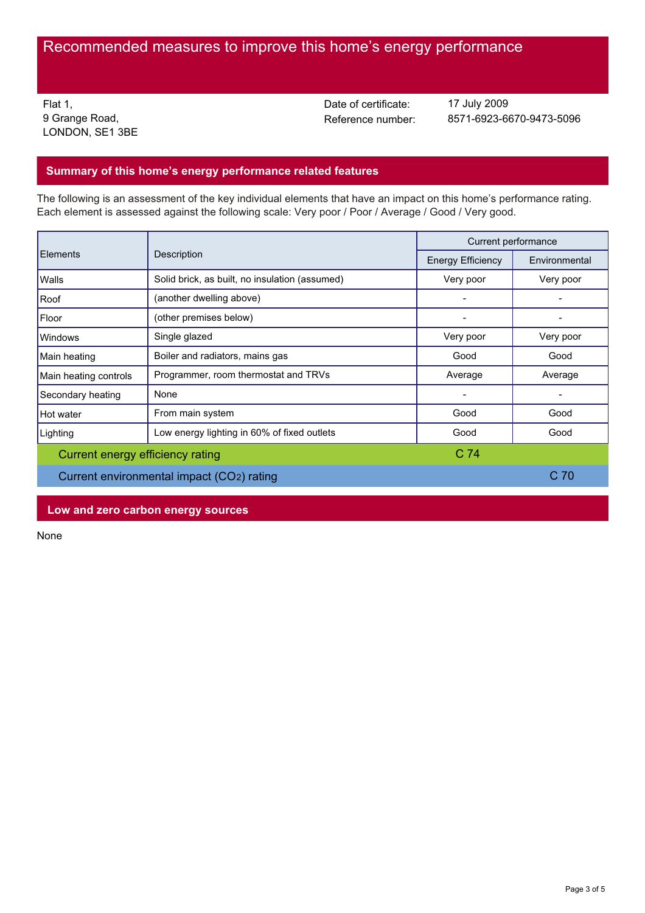# Recommended measures to improve this home's energy performance

Flat 1, 9 Grange Road, LONDON, SE1 3BE

Date of certificate: Reference number: 17 July 2009 8571-6923-6670-9473-5096

## Summary of this home's energy performance related features

The following is an assessment of the key individual elements that have an impact on this home's performance rating. Each element is assessed against the following scale: Very poor / Poor / Average / Good / Very good.

| Elements                                  | Description                                    | Current performance      |                 |
|-------------------------------------------|------------------------------------------------|--------------------------|-----------------|
|                                           |                                                | <b>Energy Efficiency</b> | Environmental   |
| Walls                                     | Solid brick, as built, no insulation (assumed) | Very poor                | Very poor       |
| Roof                                      | (another dwelling above)                       |                          |                 |
| Floor                                     | (other premises below)                         |                          | -               |
| Windows                                   | Single glazed                                  | Very poor                | Very poor       |
| Main heating                              | Boiler and radiators, mains gas                | Good                     | Good            |
| Main heating controls                     | Programmer, room thermostat and TRVs           | Average                  | Average         |
| Secondary heating                         | None                                           |                          |                 |
| Hot water                                 | From main system                               | Good                     | Good            |
| Lighting                                  | Low energy lighting in 60% of fixed outlets    | Good                     | Good            |
| Current energy efficiency rating          |                                                | C <sub>74</sub>          |                 |
| Current environmental impact (CO2) rating |                                                |                          | C <sub>70</sub> |

Low and zero carbon energy sources

None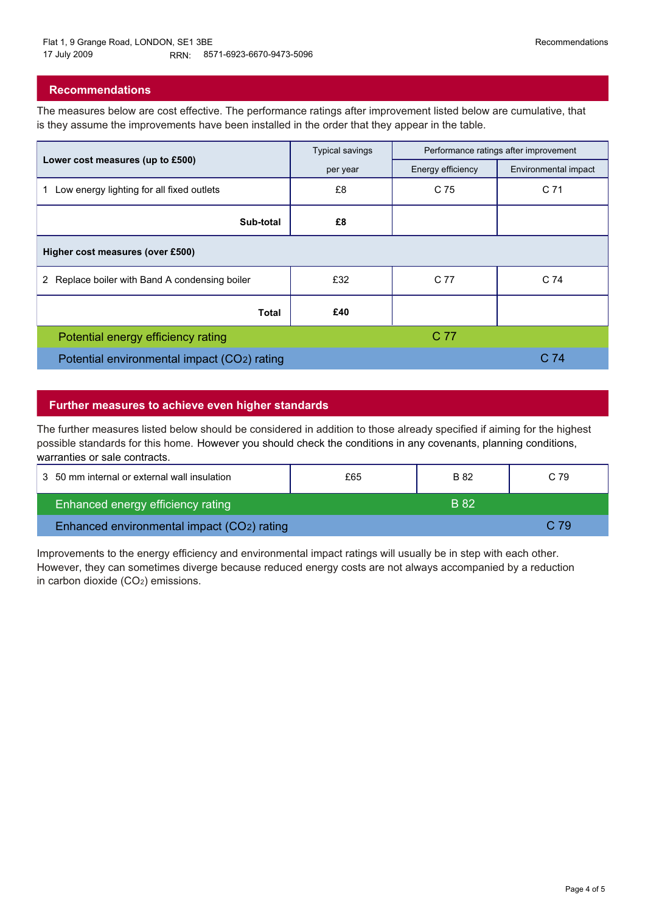## **Recommendations**

The measures below are cost effective. The performance ratings after improvement listed below are cumulative, that is they assume the improvements have been installed in the order that they appear in the table.

|                                                | <b>Typical savings</b> | Performance ratings after improvement |                      |  |  |  |
|------------------------------------------------|------------------------|---------------------------------------|----------------------|--|--|--|
| Lower cost measures (up to £500)               | per year               | Energy efficiency                     | Environmental impact |  |  |  |
| Low energy lighting for all fixed outlets      | £8                     | C 75                                  | C 71                 |  |  |  |
| Sub-total                                      | £8                     |                                       |                      |  |  |  |
| Higher cost measures (over £500)               |                        |                                       |                      |  |  |  |
| 2 Replace boiler with Band A condensing boiler | £32                    | C 77                                  | C <sub>74</sub>      |  |  |  |
| Total                                          | £40                    |                                       |                      |  |  |  |
| Potential energy efficiency rating             |                        | C 77                                  |                      |  |  |  |
| Potential environmental impact (CO2) rating    |                        |                                       | C <sub>74</sub>      |  |  |  |

## Further measures to achieve even higher standards

The further measures listed below should be considered in addition to those already specified if aiming for the highest possible standards for this home. However you should check the conditions in any covenants, planning conditions, warranties or sale contracts.

| 3 50 mm internal or external wall insulation | £65 | B 82        | C 79 |
|----------------------------------------------|-----|-------------|------|
| Enhanced energy efficiency rating            |     | <b>B</b> 82 |      |
| Enhanced environmental impact (CO2) rating   |     |             | C 79 |

Improvements to the energy efficiency and environmental impact ratings will usually be in step with each other. However, they can sometimes diverge because reduced energy costs are not always accompanied by a reduction in carbon dioxide (CO<sub>2</sub>) emissions.